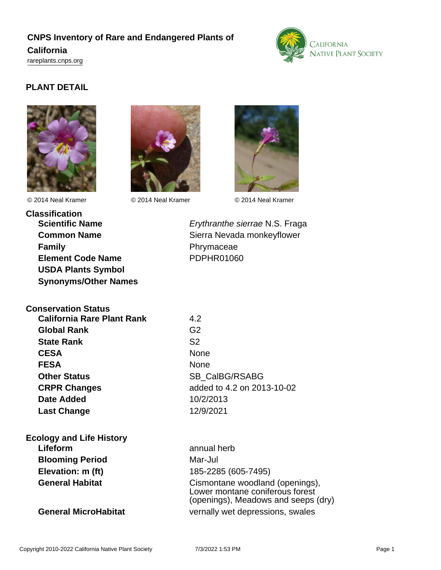# **CNPS Inventory of Rare and Endangered Plants of California** <rareplants.cnps.org>



# **PLANT DETAIL**





© 2014 Neal Kramer © 2014 Neal Kramer © 2014 Neal Kramer



**Classification Scientific Name** Erythranthe sierrae N.S. Fraga **Common Name** Sierra Nevada monkeyflower **Family Phrymaceae Element Code Name** PDPHR01060 **USDA Plants Symbol Synonyms/Other Names**

**Conservation Status**

| <b>California Rare Plant Rank</b> | 4.2            |
|-----------------------------------|----------------|
| <b>Global Rank</b>                | G <sub>2</sub> |
| <b>State Rank</b>                 | S <sub>2</sub> |
| <b>CESA</b>                       | None           |
| <b>FESA</b>                       | None           |
| <b>Other Status</b>               | SB CalBO       |
| <b>CRPR Changes</b>               | added to 4     |
| <b>Date Added</b>                 | 10/2/2013      |
| <b>Last Change</b>                | 12/9/2021      |

**CESA** None **Other Status** SB\_CalBG/RSABG **CRPR Changes** added to 4.2 on 2013-10-02 **Date Added** 10/2/2013

**Ecology and Life History**

**Lifeform** annual herb **Blooming Period** Mar-Jul **Elevation: m (ft)** 185-2285 (605-7495)

General Habitat **Cismontane woodland (openings)**, Lower montane coniferous forest (openings), Meadows and seeps (dry) **General MicroHabitat** vernally wet depressions, swales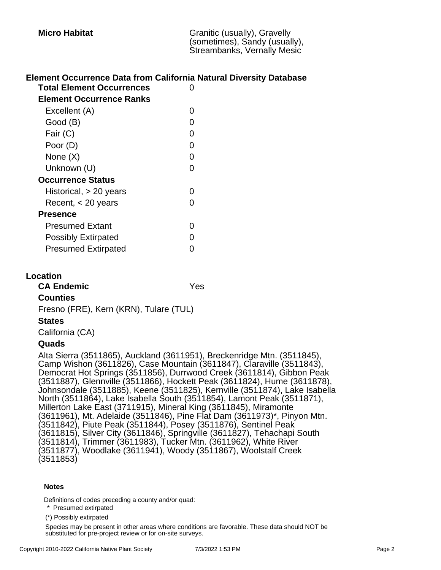### **Element Occurrence Data from California Natural Diversity Database**

| <b>Total Element Occurrences</b> |   |
|----------------------------------|---|
| <b>Element Occurrence Ranks</b>  |   |
| Excellent (A)                    | O |
| Good (B)                         | O |
| Fair (C)                         | 0 |
| Poor (D)                         | O |
| None $(X)$                       | 0 |
| Unknown (U)                      | ∩ |
| <b>Occurrence Status</b>         |   |
| Historical, $> 20$ years         | O |
| Recent, < 20 years               | O |
| Presence                         |   |
| <b>Presumed Extant</b>           | O |
| <b>Possibly Extirpated</b>       | O |
| <b>Presumed Extirpated</b>       |   |

#### **Location**

**CA Endemic** Yes **Counties** Fresno (FRE), Kern (KRN), Tulare (TUL)

#### **States**

California (CA)

### **Quads**

Alta Sierra (3511865), Auckland (3611951), Breckenridge Mtn. (3511845), Camp Wishon (3611826), Case Mountain (3611847), Claraville (3511843), Democrat Hot Springs (3511856), Durrwood Creek (3611814), Gibbon Peak (3511887), Glennville (3511866), Hockett Peak (3611824), Hume (3611878), Johnsondale (3511885), Keene (3511825), Kernville (3511874), Lake Isabella North (3511864), Lake Isabella South (3511854), Lamont Peak (3511871), Millerton Lake East (3711915), Mineral King (3611845), Miramonte (3611961), Mt. Adelaide (3511846), Pine Flat Dam (3611973)\*, Pinyon Mtn. (3511842), Piute Peak (3511844), Posey (3511876), Sentinel Peak (3611815), Silver City (3611846), Springville (3611827), Tehachapi South (3511814), Trimmer (3611983), Tucker Mtn. (3611962), White River (3511877), Woodlake (3611941), Woody (3511867), Woolstalf Creek (3511853)

#### **Notes**

Definitions of codes preceding a county and/or quad:

\* Presumed extirpated

(\*) Possibly extirpated

Species may be present in other areas where conditions are favorable. These data should NOT be substituted for pre-project review or for on-site surveys.